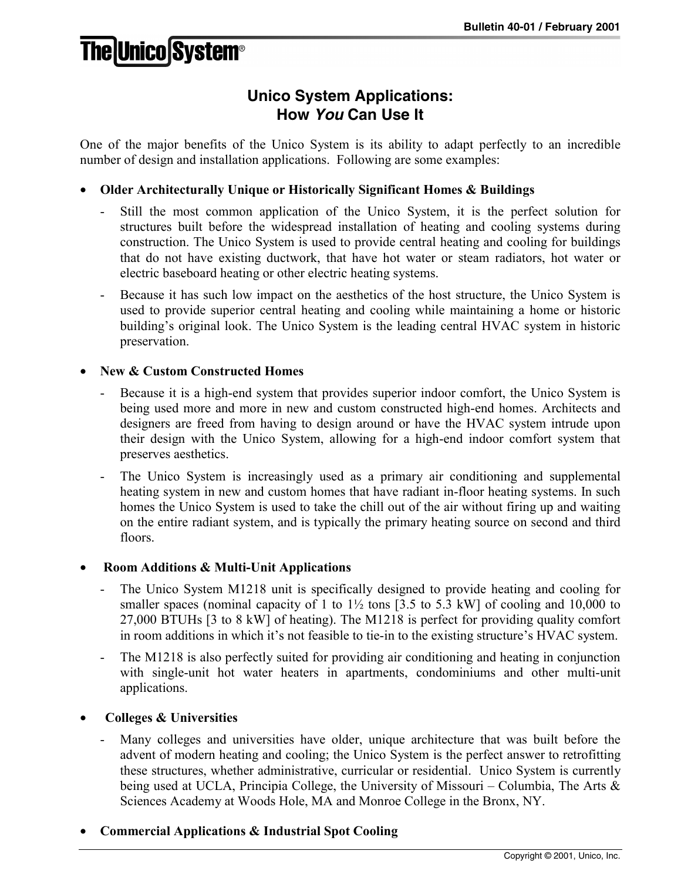# **The Unico System®**

## **Unico System Applications: How** *You* **Can Use It**

One of the major benefits of the Unico System is its ability to adapt perfectly to an incredible number of design and installation applications. Following are some examples:

### • **Older Architecturally Unique or Historically Significant Homes & Buildings**

- Still the most common application of the Unico System, it is the perfect solution for structures built before the widespread installation of heating and cooling systems during construction. The Unico System is used to provide central heating and cooling for buildings that do not have existing ductwork, that have hot water or steam radiators, hot water or electric baseboard heating or other electric heating systems.
- Because it has such low impact on the aesthetics of the host structure, the Unico System is used to provide superior central heating and cooling while maintaining a home or historic building's original look. The Unico System is the leading central HVAC system in historic preservation.

### • **New & Custom Constructed Homes**

- Because it is a high-end system that provides superior indoor comfort, the Unico System is being used more and more in new and custom constructed high-end homes. Architects and designers are freed from having to design around or have the HVAC system intrude upon their design with the Unico System, allowing for a high-end indoor comfort system that preserves aesthetics.
- The Unico System is increasingly used as a primary air conditioning and supplemental heating system in new and custom homes that have radiant in-floor heating systems. In such homes the Unico System is used to take the chill out of the air without firing up and waiting on the entire radiant system, and is typically the primary heating source on second and third floors.

### • **Room Additions & Multi-Unit Applications**

- The Unico System M1218 unit is specifically designed to provide heating and cooling for smaller spaces (nominal capacity of 1 to  $1\frac{1}{2}$  tons [3.5 to 5.3 kW] of cooling and 10,000 to 27,000 BTUHs [3 to 8 kW] of heating). The M1218 is perfect for providing quality comfort in room additions in which it's not feasible to tie-in to the existing structure's HVAC system.
- The M1218 is also perfectly suited for providing air conditioning and heating in conjunction with single-unit hot water heaters in apartments, condominiums and other multi-unit applications.

### • **Colleges & Universities**

Many colleges and universities have older, unique architecture that was built before the advent of modern heating and cooling; the Unico System is the perfect answer to retrofitting these structures, whether administrative, curricular or residential. Unico System is currently being used at UCLA, Principia College, the University of Missouri – Columbia, The Arts & Sciences Academy at Woods Hole, MA and Monroe College in the Bronx, NY.

### • **Commercial Applications & Industrial Spot Cooling**